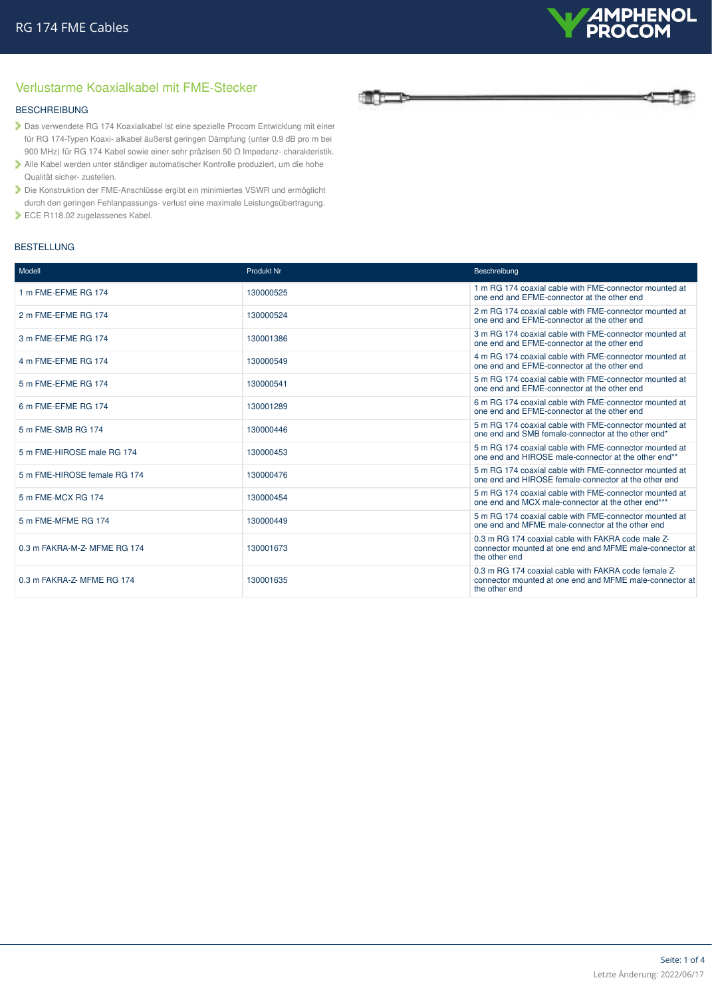

# Verlustarme Koaxialkabel mit FME-Stecker

### BESCHREIBUNG

- Das verwendete RG 174 Koaxialkabel ist eine spezielle Procom Entwicklung mit einer für RG 174-Typen Koaxi- alkabel äußerst geringen Dämpfung (unter 0.9 dB pro m bei 900 MHz) für RG 174 Kabel sowie einer sehr präzisen 50 Ω Impedanz- charakteristik.
- Alle Kabel werden unter ständiger automatischer Kontrolle produziert, um die hohe Qualität sicher- zustellen.
- Die Konstruktion der FME-Anschlüsse ergibt ein minimiertes VSWR und ermöglicht durch den geringen Fehlanpassungs- verlust eine maximale Leistungsübertragung.
- ECE R118.02 zugelassenes Kabel.

#### BESTELLUNG



| Modell                       | Produkt Nr | Beschreibung                                                                                                                     |
|------------------------------|------------|----------------------------------------------------------------------------------------------------------------------------------|
| 1 m FME-EFME RG 174          | 130000525  | 1 m RG 174 coaxial cable with FME-connector mounted at<br>one end and EFME-connector at the other end                            |
| 2 m FME-EFME RG 174          | 130000524  | 2 m RG 174 coaxial cable with FME-connector mounted at<br>one end and EFME-connector at the other end                            |
| 3 m FME-EFME RG 174          | 130001386  | 3 m RG 174 coaxial cable with FME-connector mounted at<br>one end and EFME-connector at the other end                            |
| 4 m FME-EFME RG 174          | 130000549  | 4 m RG 174 coaxial cable with FME-connector mounted at<br>one end and EFME-connector at the other end                            |
| 5 m FME-EFME RG 174          | 130000541  | 5 m RG 174 coaxial cable with FME-connector mounted at<br>one end and EFME-connector at the other end                            |
| 6 m FME-EFME RG 174          | 130001289  | 6 m RG 174 coaxial cable with FME-connector mounted at<br>one end and EFME-connector at the other end                            |
| 5 m FME-SMB RG 174           | 130000446  | 5 m RG 174 coaxial cable with FME-connector mounted at<br>one end and SMB female-connector at the other end*                     |
| 5 m FME-HIROSE male RG 174   | 130000453  | 5 m RG 174 coaxial cable with FME-connector mounted at<br>one end and HIROSE male-connector at the other end**                   |
| 5 m FME-HIROSE female RG 174 | 130000476  | 5 m RG 174 coaxial cable with FME-connector mounted at<br>one end and HIROSE female-connector at the other end                   |
| 5 m FME-MCX RG 174           | 130000454  | 5 m RG 174 coaxial cable with FME-connector mounted at<br>one end and MCX male-connector at the other end***                     |
| 5 m FME-MFME RG 174          | 130000449  | 5 m RG 174 coaxial cable with FME-connector mounted at<br>one end and MFME male-connector at the other end                       |
| 0.3 m FAKRA-M-Z- MFME RG 174 | 130001673  | 0.3 m RG 174 coaxial cable with FAKRA code male Z-<br>connector mounted at one end and MFME male-connector at<br>the other end   |
| 0.3 m FAKRA-Z-MFME RG 174    | 130001635  | 0.3 m RG 174 coaxial cable with FAKRA code female Z-<br>connector mounted at one end and MFME male-connector at<br>the other end |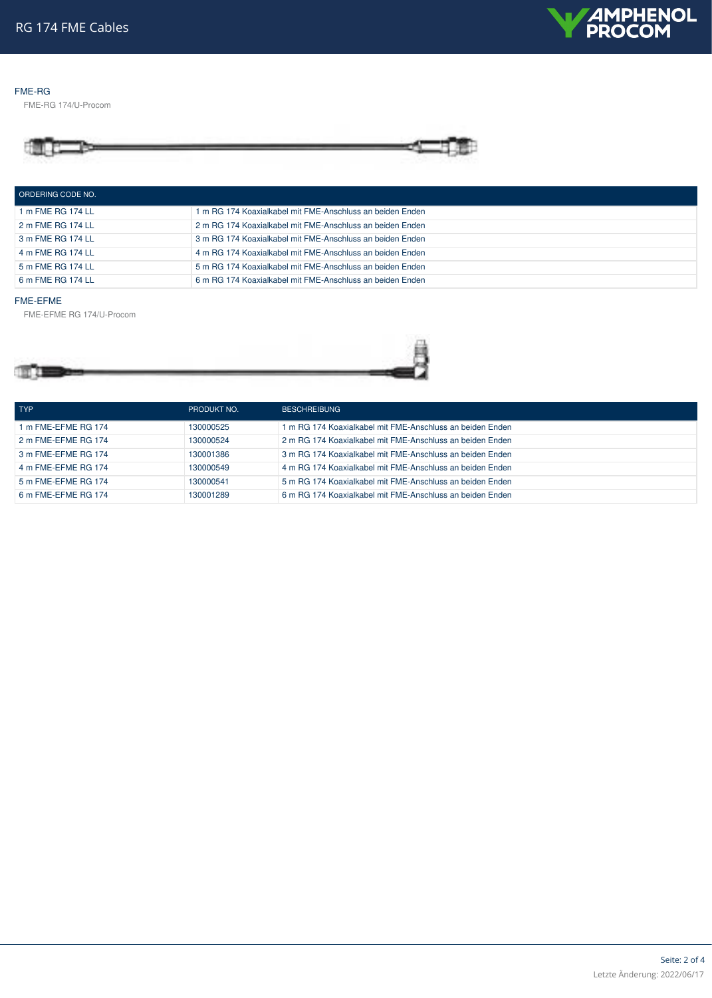

#### FME-RG

FME-RG 174/U-Procom



| ORDERING CODE NO. |                                                           |
|-------------------|-----------------------------------------------------------|
| 1 m FME RG 174 LL | 1 m RG 174 Koaxialkabel mit FME-Anschluss an beiden Enden |
| 2 m FME RG 174 LL | 2 m RG 174 Koaxialkabel mit FME-Anschluss an beiden Enden |
| 3 m FME RG 174 LL | 3 m RG 174 Koaxialkabel mit FME-Anschluss an beiden Enden |
| 4 m FME RG 174 LL | 4 m RG 174 Koaxialkabel mit FME-Anschluss an beiden Enden |
| 5 m FME RG 174 LL | 5 m RG 174 Koaxialkabel mit FME-Anschluss an beiden Enden |
| 6 m FME RG 174 LL | 6 m RG 174 Koaxialkabel mit FME-Anschluss an beiden Enden |

#### FME-EFME

FME-EFME RG 174/U-Procom



| <b>TYP</b>          | PRODUKT NO. | <b>BESCHREIBUNG</b>                                       |
|---------------------|-------------|-----------------------------------------------------------|
| 1 m FME-EFME RG 174 | 130000525   | 1 m RG 174 Koaxialkabel mit FME-Anschluss an beiden Enden |
| 2 m FME-EFME RG 174 | 130000524   | 2 m RG 174 Koaxialkabel mit FME-Anschluss an beiden Enden |
| 3 m FME-EFME RG 174 | 130001386   | 3 m RG 174 Koaxialkabel mit FME-Anschluss an beiden Enden |
| 4 m FME-EFME RG 174 | 130000549   | 4 m RG 174 Koaxialkabel mit FME-Anschluss an beiden Enden |
| 5 m FME-EFME RG 174 | 130000541   | 5 m RG 174 Koaxialkabel mit FME-Anschluss an beiden Enden |
| 6 m FME-EFME RG 174 | 130001289   | 6 m RG 174 Koaxialkabel mit FME-Anschluss an beiden Enden |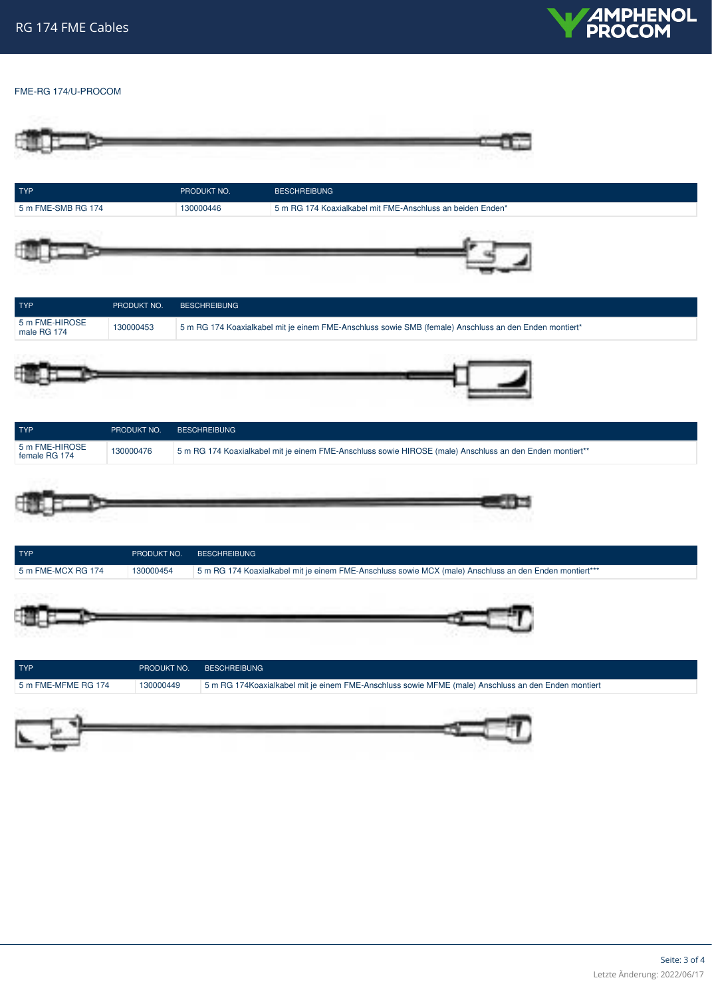

## FME-RG 174/U-PROCOM

| <b>TYP</b>                       |                          | PRODUKT NO.         | <b>BESCHREIBUNG</b>                                                                                      |
|----------------------------------|--------------------------|---------------------|----------------------------------------------------------------------------------------------------------|
| 5 m FME-SMB RG 174               |                          | 130000446           | 5 m RG 174 Koaxialkabel mit FME-Anschluss an beiden Enden*                                               |
|                                  |                          |                     |                                                                                                          |
| <b>TYP</b>                       | PRODUKT NO.              | <b>BESCHREIBUNG</b> |                                                                                                          |
| 5 m FME-HIROSE<br>male RG 174    | 130000453                |                     | 5 m RG 174 Koaxialkabel mit je einem FME-Anschluss sowie SMB (female) Anschluss an den Enden montiert*   |
|                                  |                          |                     |                                                                                                          |
| <b>TYP</b>                       | PRODUKT NO.              | <b>BESCHREIBUNG</b> |                                                                                                          |
| 5 m FME-HIROSE                   | 130000476                |                     | 5 m RG 174 Koaxialkabel mit je einem FME-Anschluss sowie HIROSE (male) Anschluss an den Enden montiert** |
| female RG 174                    |                          |                     |                                                                                                          |
| <b>TYP</b><br>5 m FME-MCX RG 174 | PRODUKT NO.<br>130000454 | <b>BESCHREIBUNG</b> | 5 m RG 174 Koaxialkabel mit je einem FME-Anschluss sowie MCX (male) Anschluss an den Enden montiert***   |
|                                  |                          |                     |                                                                                                          |
| <b>TYP</b>                       | PRODUKT NO.<br>130000449 | <b>BESCHREIBUNG</b> | 5 m RG 174Koaxialkabel mit je einem FME-Anschluss sowie MFME (male) Anschluss an den Enden montiert      |